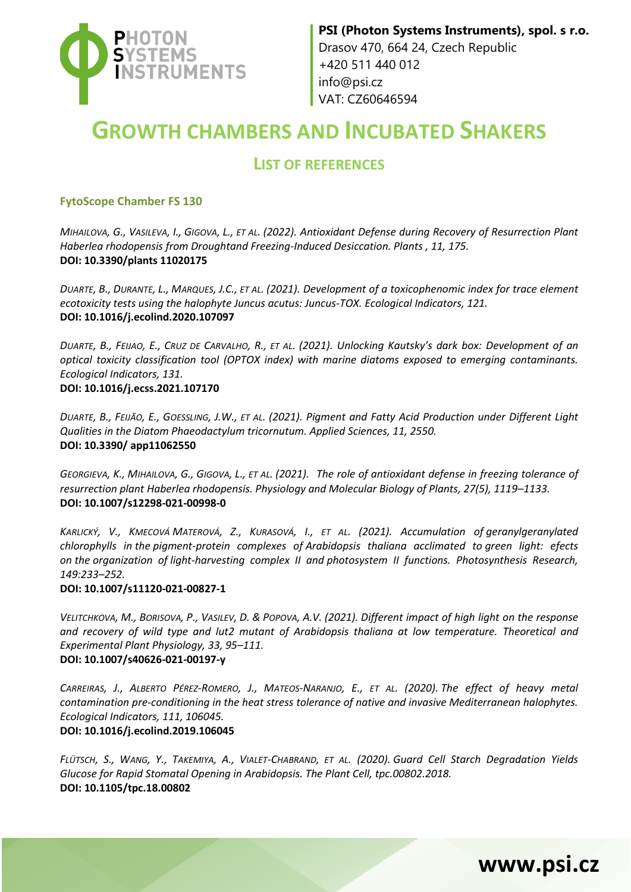

# **GROWTH CHAMBERS AND INCUBATED SHAKERS**

## **LIST OF REFERENCES**

#### **FytoScope Chamber FS 130**

MIHAILOVA, G., VASILEVA, I., GIGOVA, L., ET AL. (2022). Antioxidant Defense during Recovery of Resurrection Plant *Haberlea rhodopensis from Droughtand Freezing-Induced Desiccation. Plants , 11, 175.*  **DOI: 10.3390/plants 11020175**

*DUARTE, B., DURANTE, L., MARQUES, J.C., ET AL. (2021). Development of a toxicophenomic index for trace element ecotoxicity tests using the halophyte Juncus acutus: Juncus-TOX. Ecological Indicators, 121.* **DOI: 10.1016/j.ecolind.2020.107097**

DUARTE, B., FEIJAO, E., CRUZ DE CARVALHO, R., ET AL. (2021). Unlocking Kautsky's dark box: Development of an *optical toxicity classification tool (OPTOX index) with marine diatoms exposed to emerging contaminants. Ecological Indicators, 131.* **DOI: 10.1016/j.ecss.2021.107170**

*DUARTE, B., FEIJÃO, E., GOESSLING, J.W., ET AL. (2021). Pigment and Fatty Acid Production under Different Light Qualities in the Diatom Phaeodactylum tricornutum. Applied Sciences, 11, 2550.*  **DOI: 10.3390/ app11062550**

GEORGIEVA, K., MIHAILOVA, G., GIGOVA, L., ET AL. (2021). The role of antioxidant defense in freezing tolerance of *resurrection plant Haberlea rhodopensis. Physiology and Molecular Biology of Plants, 27(5), 1119–1133.* **DOI: 10.1007/s12298-021-00998-0**

KARLICKÝ, V., KMECOVÁ MATEROVÁ, Z., KURASOVÁ, I., ET AL. (2021). Accumulation of geranylgeranylated *chlorophylls in the pigment-protein complexes of Arabidopsis thaliana acclimated to green light: efects on the organization of light-harvesting complex II and photosystem II functions. Photosynthesis Research, 149:233–252.*

#### **DOI: 10.1007/s11120-021-00827-1**

VELITCHKOVA, M., BORISOVA, P., VASILEV, D. & POPOVA, A.V. (2021). Different impact of high light on the response *and recovery of wild type and lut2 mutant of Arabidopsis thaliana at low temperature. [Theoretical and](https://link.springer.com/journal/40626)  [Experimental Plant Physiology,](https://link.springer.com/journal/40626) 33, 95–111.*

#### **DOI: 10.1007/s40626-021-00197-y**

CARREIRAS, J., ALBERTO PÉREZ-ROMERO, J., MATEOS-NARANJO, E., ET AL. (2020). The effect of heavy metal *contamination pre-conditioning in the heat stress tolerance of native and invasive Mediterranean halophytes. Ecological Indicators, 111, 106045.*

#### **DOI: 10.1016/j.ecolind.2019.106045**

FLÜTSCH, S., WANG, Y., TAKEMIYA, A., VIALET-CHABRAND, ET AL. (2020). Guard Cell Starch Degradation Yields *Glucose for Rapid Stomatal Opening in Arabidopsis. The Plant Cell, tpc.00802.2018.* **DOI: 10.1105/tpc.18.00802**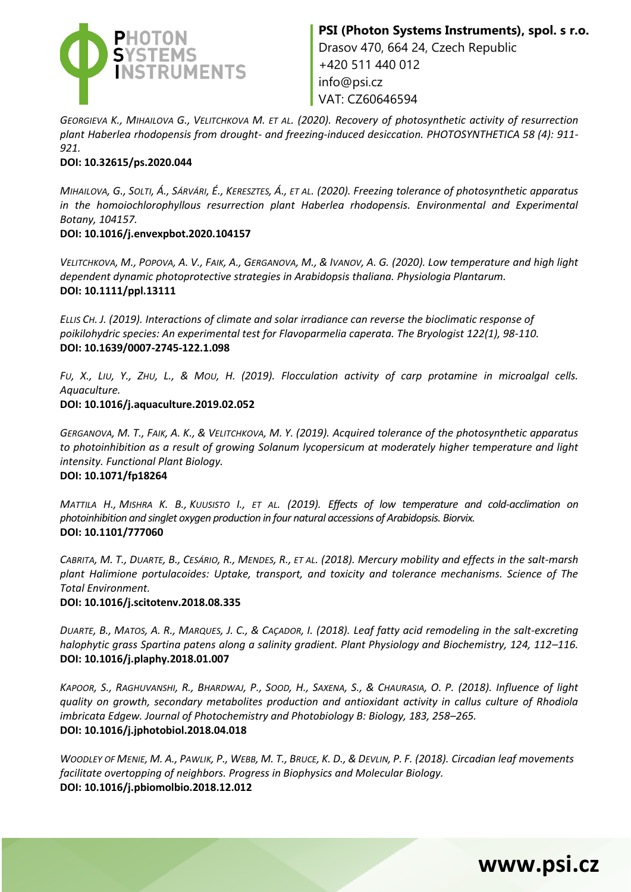

*GEORGIEVA K., MIHAILOVA G., VELITCHKOVA M. ET AL. (2020). Recovery of photosynthetic activity of resurrection plant Haberlea rhodopensis from drought- and freezing-induced desiccation. PHOTOSYNTHETICA 58 (4): 911- 921.*

#### **DOI: 10.32615/ps.2020.044**

MIHAILOVA, G., SOLTI, Á., SÁRVÁRI, É., KERESZTES, Á., ET AL. (2020). Freezing tolerance of photosynthetic apparatus *in the homoiochlorophyllous resurrection plant Haberlea rhodopensis. Environmental and Experimental Botany, 104157.*

#### **DOI: 10.1016/j.envexpbot.2020.104157**

VELITCHKOVA, M., POPOVA, A. V., FAIK, A., GERGANOVA, M., & IVANOV, A. G. (2020). Low temperature and high light *dependent dynamic photoprotective strategies in Arabidopsis thaliana. Physiologia Plantarum.* **DOI: 10.1111/ppl.13111**

*ELLIS CH. J. (2019). Interactions of climate and solar irradiance can reverse the bioclimatic response of poikilohydric species: An experimental test for Flavoparmelia caperata. The Bryologist 122(1), 98-110.* **DOI: 10.1639/0007-2745-122.1.098**

FU, X., LIU, Y., ZHU, L., & MOU, H. (2019). Flocculation activity of carp protamine in microalgal cells. *Aquaculture.*

#### **DOI: 10.1016/j.aquaculture.2019.02.052**

GERGANOVA, M. T., FAIK, A. K., & VELITCHKOVA, M. Y. (2019). Acquired tolerance of the photosynthetic apparatus *to photoinhibition as a result of growing Solanum lycopersicum at moderately higher temperature and light intensity. Functional Plant Biology.*

### **DOI: 10.1071/fp18264**

*MATTILA H., MISHRA K. B., KUUSISTO I., ET AL. (2019). Effects of low temperature and cold-acclimation on photoinhibition and singlet oxygen production in four natural accessions of Arabidopsis. Biorvix.* **DOI: 10.1101/777060**

CABRITA, M. T., DUARTE, B., CESÁRIO, R., MENDES, R., ET AL. (2018). Mercury mobility and effects in the salt-marsh *plant Halimione portulacoides: Uptake, transport, and toxicity and tolerance mechanisms. Science of The Total Environment.*

#### **DOI: 10.1016/j.scitotenv.2018.08.335**

DUARTE, B., MATOS, A. R., MARQUES, J. C., & CAÇADOR, I. (2018). Leaf fatty acid remodeling in the salt-excreting *halophytic grass Spartina patens along a salinity gradient. Plant Physiology and Biochemistry, 124, 112–116.* **DOI: 10.1016/j.plaphy.2018.01.007**

KAPOOR, S., RAGHUVANSHI, R., BHARDWAJ, P., SOOD, H., SAXENA, S., & CHAURASIA, O. P. (2018). Influence of light *quality on growth, secondary metabolites production and antioxidant activity in callus culture of Rhodiola imbricata Edgew. Journal of Photochemistry and Photobiology B: Biology, 183, 258–265.* **DOI: 10.1016/j.jphotobiol.2018.04.018**

WOODLEY OF MENIE, M. A., PAWLIK, P., WEBB, M. T., BRUCE, K. D., & DEVLIN, P. F. (2018). Circadian leaf movements *facilitate overtopping of neighbors. Progress in Biophysics and Molecular Biology.* **DOI: 10.1016/j.pbiomolbio.2018.12.012**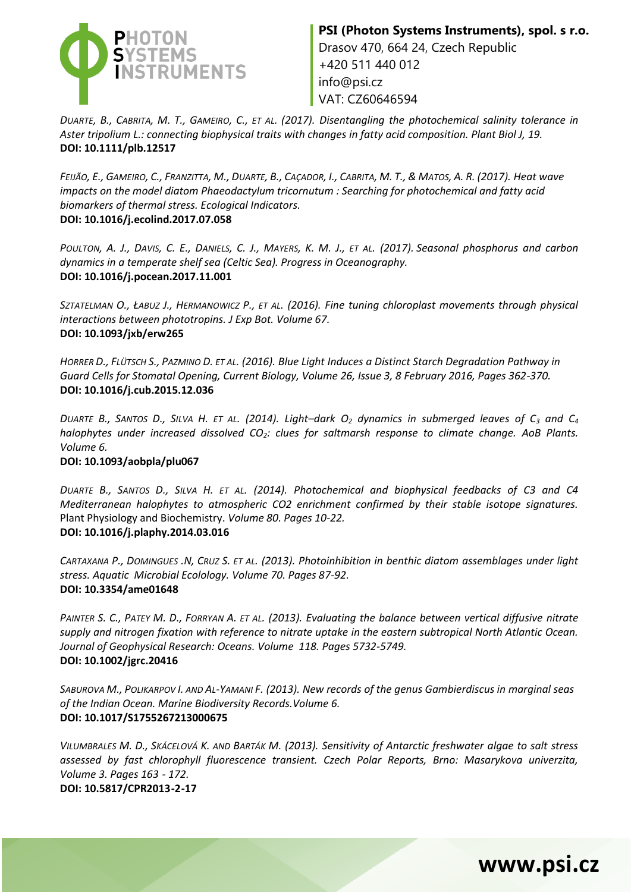

*DUARTE, B., CABRITA, M. T., GAMEIRO, C., ET AL. (2017). Disentangling the photochemical salinity tolerance in Aster tripolium L.: connecting biophysical traits with changes in fatty acid composition. Plant Biol J, 19.* **DOI: 10.1111/plb.12517**

FEIJÃO, E., GAMEIRO, C., FRANZITTA, M., DUARTE, B., CAÇADOR, I., CABRITA, M. T., & MATOS, A. R. (2017). Heat wave *impacts on the model diatom Phaeodactylum tricornutum : Searching for photochemical and fatty acid biomarkers of thermal stress. Ecological Indicators.* **DOI: 10.1016/j.ecolind.2017.07.058**

POULTON, A. J., DAVIS, C. E., DANIELS, C. J., MAYERS, K. M. J., ET AL. (2017). Seasonal phosphorus and carbon *dynamics in a temperate shelf sea (Celtic Sea). Progress in Oceanography.* **DOI: 10.1016/j.pocean.2017.11.001**

*SZTATELMAN O., ŁABUZ J., HERMANOWICZ P., ET AL. (2016). Fine tuning chloroplast movements through physical interactions between phototropins. J Exp Bot. Volume 67.* **DOI: 10.1093/jxb/erw265** 

*HORRER D., FLÜTSCH S., PAZMINO D. ET AL. (2016). Blue Light Induces a Distinct Starch Degradation Pathway in Guard Cells for Stomatal Opening, Current Biology, Volume 26, Issue 3, 8 February 2016, Pages 362-370.* **DOI: 10.1016/j.cub.2015.12.036**

DUARTE B., SANTOS D., SILVA H. ET AL. (2014). Light-dark  $O_2$  dynamics in submerged leaves of  $C_3$  and  $C_4$ *halophytes under increased dissolved CO2: clues for saltmarsh response to climate change. AoB Plants. Volume 6.*

#### **DOI: 10.1093/aobpla/plu067**

*DUARTE B., SANTOS D., SILVA H. ET AL. (2014). Photochemical and biophysical feedbacks of C3 and C4 Mediterranean halophytes to atmospheric CO2 enrichment confirmed by their stable isotope signatures.*  Plant Physiology and Biochemistry. *Volume 80. Pages 10-22.* **DOI: 10.1016/j.plaphy.2014.03.016**

*CARTAXANA P., DOMINGUES .N, CRUZ S. ET AL. (2013). Photoinhibition in benthic diatom assemblages under light stress. Aquatic Microbial Ecolology. Volume 70. Pages 87-92.* **DOI: 10.3354/ame01648**

*PAINTER S. C., PATEY M. D., FORRYAN A. ET AL. (2013). Evaluating the balance between vertical diffusive nitrate supply and nitrogen fixation with reference to nitrate uptake in the eastern subtropical North Atlantic Ocean. Journal of Geophysical Research: Oceans. Volume 118. Pages 5732-5749.* **DOI: 10.1002/jgrc.20416**

*SABUROVA M., POLIKARPOV I. AND AL-YAMANI F. (2013). New records of the genus Gambierdiscus in marginal seas of the Indian Ocean. Marine Biodiversity Records.Volume 6.* **DOI: 10.1017/S1755267213000675**

*VILUMBRALES M. D., SKÁCELOVÁ K. AND BARTÁK M. (2013). Sensitivity of Antarctic freshwater algae to salt stress assessed by fast chlorophyll fluorescence transient. Czech Polar Reports, Brno: Masarykova univerzita, Volume 3. Pages 163 - 172.* 

**www.psi.cz**

**DOI: 10.5817/CPR2013-2-17**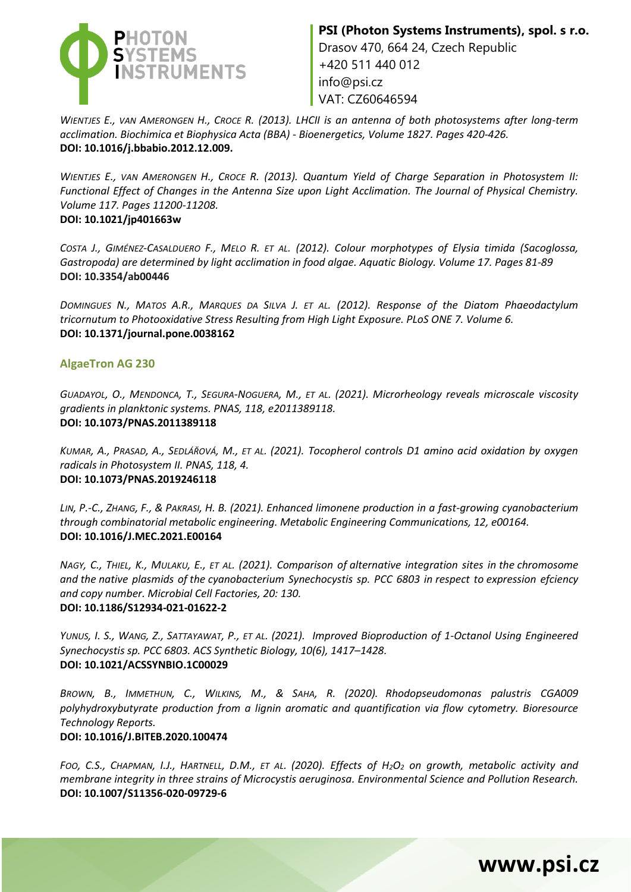

VAT: CZ60646594

*WIENTJES E., VAN AMERONGEN H., CROCE R. (2013). LHCII is an antenna of both photosystems after long-term acclimation. Biochimica et Biophysica Acta (BBA) - Bioenergetics, Volume 1827. Pages 420-426.* **DOI: 10.1016/j.bbabio.2012.12.009.**

*WIENTJES E., VAN AMERONGEN H., CROCE R. (2013). Quantum Yield of Charge Separation in Photosystem II: Functional Effect of Changes in the Antenna Size upon Light Acclimation. The Journal of Physical Chemistry. Volume 117. Pages 11200-11208.* **DOI: 10.1021/jp401663w**

*COSTA J., GIMÉNEZ-CASALDUERO F., MELO R. ET AL. (2012). Colour morphotypes of Elysia timida (Sacoglossa, Gastropoda) are determined by light acclimation in food algae. Aquatic Biology. Volume 17. Pages 81-89* **DOI: 10.3354/ab00446**

*DOMINGUES N., MATOS A.R., MARQUES DA SILVA J. ET AL. (2012). Response of the Diatom Phaeodactylum tricornutum to Photooxidative Stress Resulting from High Light Exposure. PLoS ONE 7. Volume 6.* **DOI: 10.1371/journal.pone.0038162**

#### **AlgaeTron AG 230**

GUADAYOL, O., MENDONCA, T., SEGURA-NOGUERA, M., ET AL. (2021). Microrheology reveals microscale viscosity *gradients in planktonic systems. PNAS, 118, e2011389118.* **DOI[: 10.1073/PNAS.2011389118](https://doi.org/10.1073/pnas.2011389118)**

*KUMAR, A., PRASAD, A., SEDLÁŘOVÁ, M., ET AL. (2021). Tocopherol controls D1 amino acid oxidation by oxygen radicals in Photosystem II. PNAS, 118, 4.* **DOI: 10.1073/PNAS.2019246118** 

*LIN, P.-C., ZHANG, F., & PAKRASI, H. B. (2021). Enhanced limonene production in a fast-growing cyanobacterium through combinatorial metabolic engineering. Metabolic Engineering Communications, 12, e00164.*  **DOI: 10.1016/J.MEC.2021.E00164**

NAGY, C., THIEL, K., MULAKU, E., ET AL. (2021). Comparison of alternative integration sites in the chromosome *and the native plasmids of the cyanobacterium Synechocystis sp. PCC 6803 in respect to expression efciency and copy number. Microbial Cell Factories, 20: 130.* **DOI: 10.1186/S12934-021-01622-2**

YUNUS, I. S., WANG, Z., SATTAYAWAT, P., ET AL. (2021). Improved Bioproduction of 1-Octanol Using Engineered *Synechocystis sp. PCC 6803. ACS Synthetic Biology, 10(6), 1417–1428.* **DOI: 10.1021/ACSSYNBIO.1C00029**

*BROWN, B., IMMETHUN, C., WILKINS, M., & SAHA, R. (2020). Rhodopseudomonas palustris CGA009 polyhydroxybutyrate production from a lignin aromatic and quantification via flow cytometry. Bioresource Technology Reports.*

#### **DOI: 10.1016/J.BITEB.2020.100474**

FOO, C.S., CHAPMAN, I.J., HARTNELL, D.M., ET AL. (2020). Effects of H<sub>2</sub>O<sub>2</sub> on growth, metabolic activity and *membrane integrity in three strains of Microcystis aeruginosa. Environmental Science and Pollution Research.* **DOI: 10.1007/S11356-020-09729-6**

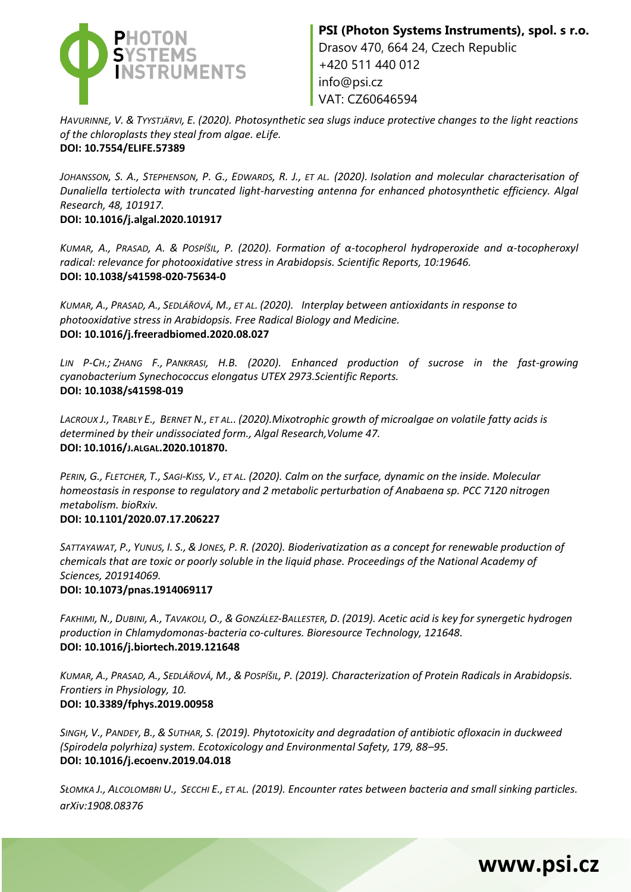

*HAVURINNE, V. & TYYSTJÄRVI, E. (2020). Photosynthetic sea slugs induce protective changes to the light reactions of the chloroplasts they steal from algae. eLife.* **DOI: [10.7554/ELIFE.57389](https://doi.org/10.7554/eLife.57389)**

JOHANSSON, S. A., STEPHENSON, P. G., EDWARDS, R. J., ET AL. (2020). Isolation and molecular characterisation of *Dunaliella tertiolecta with truncated light-harvesting antenna for enhanced photosynthetic efficiency. Algal Research, 48, 101917.*

**DOI: 10.1016/j.algal.2020.101917**

KUMAR, A., PRASAD, A. & POSPÍŠIL, P. (2020). Formation of α-tocopherol hydroperoxide and α-tocopheroxyl *radical: relevance for photooxidative stress in Arabidopsis. Scientific Reports, 10:19646.* **DOI: 10.1038/s41598-020-75634-0**

*KUMAR, A., PRASAD, A., SEDLÁŘOVÁ, M., ET AL. (2020). Interplay between antioxidants in response to photooxidative stress in Arabidopsis. Free Radical Biology and Medicine.* **DOI: 10.1016/j.freeradbiomed.2020.08.027**

*LIN P-CH.; ZHANG F., PANKRASI, H.B. (2020). Enhanced production of sucrose in the fast-growing cyanobacterium Synechococcus elongatus UTEX 2973.Scientific Reports.* **DOI: 10.1038/s41598-019**

*LACROUX J., TRABLY E., BERNET N., ET AL.. (2020).Mixotrophic growth of microalgae on volatile fatty acids is determined by their undissociated form., Algal Research,Volume 47.* **DOI: 10.1016/J.ALGAL.2020.101870.**

PERIN, G., FLETCHER, T., SAGI-KISS, V., ET AL. (2020). Calm on the surface, dynamic on the inside. Molecular *homeostasis in response to regulatory and 2 metabolic perturbation of Anabaena sp. PCC 7120 nitrogen metabolism. bioRxiv.*

#### **DOI: 10.1101/2020.07.17.206227**

SATTAYAWAT, P., YUNUS, I. S., & JONES, P. R. (2020). Bioderivatization as a concept for renewable production of *chemicals that are toxic or poorly soluble in the liquid phase. Proceedings of the National Academy of Sciences, 201914069.*

#### **DOI: 10.1073/pnas.1914069117**

FAKHIMI, N., DUBINI, A., TAVAKOLI, O., & GONZÁLEZ-BALLESTER, D. (2019). Acetic acid is key for synergetic hydrogen *production in Chlamydomonas-bacteria co-cultures. Bioresource Technology, 121648.* **DOI: 10.1016/j.biortech.2019.121648**

KUMAR, A., PRASAD, A., SEDLÁŘOVÁ, M., & POSPÍŠIL, P. (2019). Characterization of Protein Radicals in Arabidopsis. *Frontiers in Physiology, 10.* **DOI: 10.3389/fphys.2019.00958**

*SINGH, V., PANDEY, B., & SUTHAR, S. (2019). Phytotoxicity and degradation of antibiotic ofloxacin in duckweed (Spirodela polyrhiza) system. Ecotoxicology and Environmental Safety, 179, 88–95.* **DOI: 10.1016/j.ecoenv.2019.04.018**

*SŁOMKA J., ALCOLOMBRI U., SECCHI E., ET AL. (2019). Encounter rates between bacteria and small sinking particles. arXiv:1908.08376*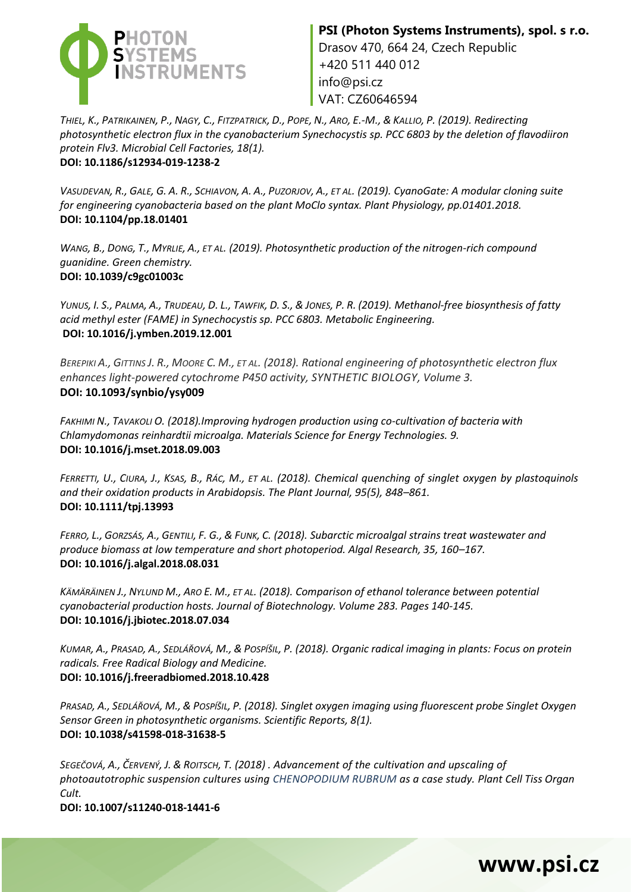

VAT: CZ60646594

THIEL, K., PATRIKAINEN, P., NAGY, C., FITZPATRICK, D., POPE, N., ARO, E.-M., & KALLIO, P. (2019). Redirecting *photosynthetic electron flux in the cyanobacterium Synechocystis sp. PCC 6803 by the deletion of flavodiiron protein Flv3. Microbial Cell Factories, 18(1).* **DOI: 10.1186/s12934-019-1238-2**

VASUDEVAN, R., GALE, G. A. R., SCHIAVON, A. A., PUZORJOV, A., ET AL. (2019). CyanoGate: A modular cloning suite *for engineering cyanobacteria based on the plant MoClo syntax. Plant Physiology, pp.01401.2018.* **DOI: 10.1104/pp.18.01401**

*WANG, B., DONG, T., MYRLIE, A., ET AL. (2019). Photosynthetic production of the nitrogen-rich compound guanidine. Green chemistry.* **DOI: 10.1039/c9gc01003c**

YUNUS, I. S., PALMA, A., TRUDEAU, D. L., TAWFIK, D. S., & JONES, P. R. (2019). Methanol-free biosynthesis of fatty *acid methyl ester (FAME) in Synechocystis sp. PCC 6803. Metabolic Engineering.* **DOI: 10.1016/j.ymben.2019.12.001**

*BEREPIKI A., GITTINS J. R., MOORE C. M., ET AL. (2018). Rational engineering of photosynthetic electron flux enhances light-powered cytochrome P450 activity, SYNTHETIC BIOLOGY, Volume 3.* **DOI: 10.1093/synbio/ysy009**

*FAKHIMI N., TAVAKOLI O. (2018).Improving hydrogen production using co-cultivation of bacteria with Chlamydomonas reinhardtii microalga. Materials Science for Energy Technologies. 9.* **DOI: 10.1016/j.mset.2018.09.003**

FERRETTI, U., CIURA, J., KSAS, B., RÁC, M., ET AL. (2018). Chemical quenching of singlet oxygen by plastoquinols *and their oxidation products in Arabidopsis. The Plant Journal, 95(5), 848–861.*  **DOI: 10.1111/tpj.13993**

FERRO, L., GORZSÁS, A., GENTILI, F. G., & FUNK, C. (2018). Subarctic microalgal strains treat wastewater and *produce biomass at low temperature and short photoperiod. Algal Research, 35, 160–167.* **DOI: 10.1016/j.algal.2018.08.031**

*KÄMÄRÄINEN J., NYLUND M., ARO E. M., ET AL. (2018). Comparison of ethanol tolerance between potential cyanobacterial production hosts. Journal of Biotechnology. Volume 283. Pages 140-145.* **DOI: 10.1016/j.jbiotec.2018.07.034**

KUMAR, A., PRASAD, A., SEDLÁŘOVÁ, M., & POSPÍŠIL, P. (2018). Organic radical imaging in plants: Focus on protein *radicals. Free Radical Biology and Medicine.* **DOI: 10.1016/j.freeradbiomed.2018.10.428**

*PRASAD, A., SEDLÁŘOVÁ, M., & POSPÍŠIL, P. (2018). Singlet oxygen imaging using fluorescent probe Singlet Oxygen Sensor Green in photosynthetic organisms. Scientific Reports, 8(1).* **DOI: 10.1038/s41598-018-31638-5**

*SEGEČOVÁ, A., ČERVENÝ, J. & ROITSCH, T. (2018) . Advancement of the cultivation and upscaling of photoautotrophic suspension cultures using CHENOPODIUM RUBRUM as a case study. Plant Cell Tiss Organ Cult.*

**www.psi.cz**

**DOI: 10.1007/s11240-018-1441-6**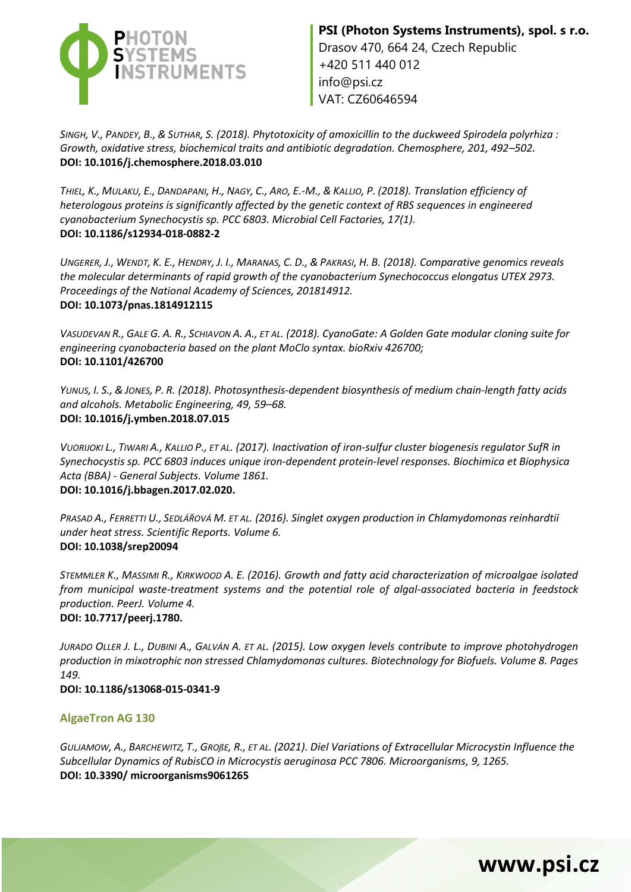

*SINGH, V., PANDEY, B., & SUTHAR, S. (2018). Phytotoxicity of amoxicillin to the duckweed Spirodela polyrhiza : Growth, oxidative stress, biochemical traits and antibiotic degradation. Chemosphere, 201, 492–502.* **DOI: 10.1016/j.chemosphere.2018.03.010**

THIEL, K., MULAKU, E., DANDAPANI, H., NAGY, C., ARO, E.-M., & KALLIO, P. (2018). Translation efficiency of *heterologous proteins is significantly affected by the genetic context of RBS sequences in engineered cyanobacterium Synechocystis sp. PCC 6803. Microbial Cell Factories, 17(1).* **DOI: 10.1186/s12934-018-0882-2**

UNGERER, J., WENDT, K. E., HENDRY, J. I., MARANAS, C. D., & PAKRASI, H. B. (2018). Comparative genomics reveals *the molecular determinants of rapid growth of the cyanobacterium Synechococcus elongatus UTEX 2973. Proceedings of the National Academy of Sciences, 201814912.* **DOI: 10.1073/pnas.1814912115**

*VASUDEVAN R., GALE G. A. R., SCHIAVON A. A., ET AL. (2018). CyanoGate: A Golden Gate modular cloning suite for engineering cyanobacteria based on the plant MoClo syntax. bioRxiv 426700;* **DOI: 10.1101/426700**

*YUNUS, I. S., & JONES, P. R. (2018). Photosynthesis-dependent biosynthesis of medium chain-length fatty acids and alcohols. Metabolic Engineering, 49, 59–68.*  **DOI: 10.1016/j.ymben.2018.07.015**

*VUORIJOKI L., TIWARI A., KALLIO P., ET AL. (2017). Inactivation of iron-sulfur cluster biogenesis regulator SufR in Synechocystis sp. PCC 6803 induces unique iron-dependent protein-level responses. Biochimica et Biophysica Acta (BBA) - General Subjects. Volume 1861.* **DOI: 10.1016/j.bbagen.2017.02.020.**

*PRASAD A., FERRETTI U., SEDLÁŘOVÁ M. ET AL. (2016). Singlet oxygen production in Chlamydomonas reinhardtii under heat stress. Scientific Reports. Volume 6.*  **DOI: 10.1038/srep20094**

*STEMMLER K., MASSIMI R., KIRKWOOD A. E. (2016). Growth and fatty acid characterization of microalgae isolated from municipal waste-treatment systems and the potential role of algal-associated bacteria in feedstock production. PeerJ. Volume 4.* 

#### **DOI: 10.7717/peerj.1780.**

*JURADO OLLER J. L., DUBINI A., GALVÁN A. ET AL. (2015). Low oxygen levels contribute to improve photohydrogen production in mixotrophic non stressed Chlamydomonas cultures. Biotechnology for Biofuels. Volume 8. Pages 149.*

#### **DOI: 10.1186/s13068-015-0341-9**

#### **AlgaeTron AG 130**

GULJAMOW, A., BARCHEWITZ, T., GROßE, R., ET AL. (2021). Diel Variations of Extracellular Microcystin Influence the *Subcellular Dynamics of RubisCO in Microcystis aeruginosa PCC 7806. Microorganisms, 9, 1265.*  **DOI: 10.3390/ microorganisms9061265**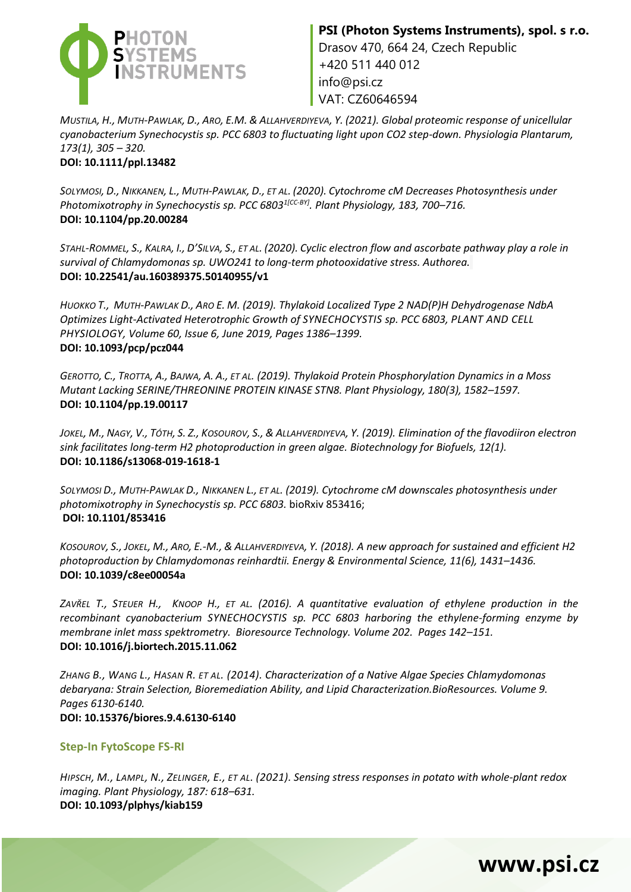

MUSTILA, H., MUTH-PAWLAK, D., ARO, E.M. & ALLAHVERDIYEVA, Y. (2021). Global proteomic response of unicellular *cyanobacterium Synechocystis sp. PCC 6803 to fluctuating light upon CO2 step-down. Physiologia Plantarum, 173(1), 305 – 320.* **DOI: [10.1111/ppl.13482](https://doi.org/10.1111/ppl.13482)**

SOLYMOSI, D., NIKKANEN, L., MUTH-PAWLAK, D., ET AL. (2020). Cytochrome cM Decreases Photosynthesis under *Photomixotrophy in Synechocystis sp. PCC 68031[CC-BY]. Plant Physiology, 183, 700–716.* **DOI: 10.1104/pp.20.00284**

STAHL-ROMMEL, S., KALRA, I., D'SILVA, S., ET AL. (2020). Cyclic electron flow and ascorbate pathway play a role in *survival of Chlamydomonas sp. UWO241 to long-term photooxidative stress. Authorea.* **DOI: [10.22541/au.160389375.50140955/v1](https://doi.org/10.22541/au.160389375.50140955/v1)**

*HUOKKO T., MUTH-PAWLAK D., ARO E. M. (2019). Thylakoid Localized Type 2 NAD(P)H Dehydrogenase NdbA Optimizes Light-Activated Heterotrophic Growth of SYNECHOCYSTIS sp. PCC 6803, PLANT AND CELL PHYSIOLOGY, Volume 60, Issue 6, June 2019, Pages 1386–1399.* **DOI: 10.1093/pcp/pcz044**

GEROTTO, C., TROTTA, A., BAJWA, A. A., ET AL. (2019). Thylakoid Protein Phosphorylation Dynamics in a Moss *Mutant Lacking SERINE/THREONINE PROTEIN KINASE STN8. Plant Physiology, 180(3), 1582–1597.* **DOI: 10.1104/pp.19.00117**

JOKEL, M., NAGY, V., TÓTH, S. Z., KOSOUROV, S., & ALLAHVERDIYEVA, Y. (2019). Elimination of the flavodiiron electron *sink facilitates long-term H2 photoproduction in green algae. Biotechnology for Biofuels, 12(1).* **DOI: 10.1186/s13068-019-1618-1**

*SOLYMOSI D., MUTH-PAWLAK D., NIKKANEN L., ET AL. (2019). Cytochrome cM downscales photosynthesis under photomixotrophy in Synechocystis sp. PCC 6803.* bioRxiv 853416; **DOI: 10.1101/853416**

KOSOUROV, S., JOKEL, M., ARO, E.-M., & ALLAHVERDIYEVA, Y. (2018). A new approach for sustained and efficient H2 *photoproduction by Chlamydomonas reinhardtii. Energy & Environmental Science, 11(6), 1431–1436.* **DOI: 10.1039/c8ee00054a**

*ZAVŘEL T., STEUER H., KNOOP H., ET AL. (2016). A quantitative evaluation of ethylene production in the recombinant cyanobacterium SYNECHOCYSTIS sp. PCC 6803 harboring the ethylene-forming enzyme by membrane inlet mass spektrometry. Bioresource Technology. Volume 202. Pages 142–151.* **DOI: 10.1016/j.biortech.2015.11.062**

*ZHANG B., WANG L., HASAN R. ET AL. (2014). Characterization of a Native Algae Species Chlamydomonas debaryana: Strain Selection, Bioremediation Ability, and Lipid Characterization.BioResources. Volume 9. Pages 6130-6140.* **DOI: 10.15376/biores.9.4.6130-6140**

#### **Step-In FytoScope FS-RI**

*HIPSCH, M., LAMPL, N., ZELINGER, E., ET AL. (2021). Sensing stress responses in potato with whole-plant redox imaging. Plant Physiology, 187: 618–631.* **DOI: 10.1093/plphys/kiab159**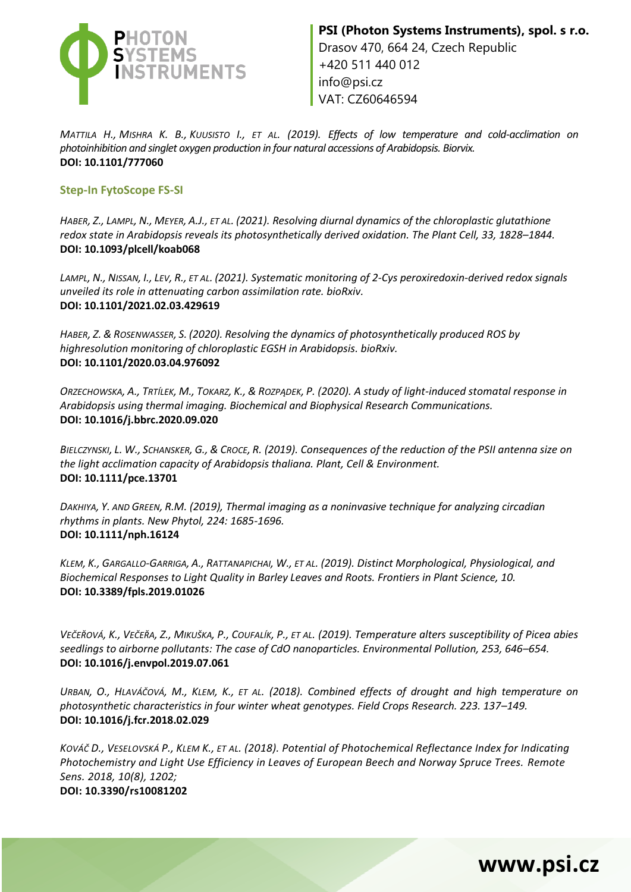

*MATTILA H., MISHRA K. B., KUUSISTO I., ET AL. (2019). Effects of low temperature and cold-acclimation on photoinhibition and singlet oxygen production in four natural accessions of Arabidopsis. Biorvix.* **DOI: 10.1101/777060**

#### **Step-In FytoScope FS-SI**

*HABER, Z., LAMPL, N., MEYER, A.J., ET AL. (2021). Resolving diurnal dynamics of the chloroplastic glutathione redox state in Arabidopsis reveals its photosynthetically derived oxidation. The Plant Cell, 33, 1828–1844.* **DOI: 10.1093/plcell/koab068**

LAMPL, N., NISSAN, I., LEV, R., ET AL. (2021). Systematic monitoring of 2-Cys peroxiredoxin-derived redox signals *unveiled its role in attenuating carbon assimilation rate. bioRxiv.* **DOI: 10.1101/2021.02.03.429619**

*HABER, Z. & ROSENWASSER, S. (2020). Resolving the dynamics of photosynthetically produced ROS by highresolution monitoring of chloroplastic EGSH in Arabidopsis. bioRxiv.* **DOI: 10.1101/2020.03.04.976092**

ORZECHOWSKA, A., TRTÍLEK, M., TOKARZ, K., & ROZPADEK, P. (2020). A study of light-induced stomatal response in *Arabidopsis using thermal imaging. Biochemical and Biophysical Research Communications.* **DOI: 10.1016/j.bbrc.2020.09.020**

*BIELCZYNSKI, L. W., SCHANSKER, G., & CROCE, R. (2019). Consequences of the reduction of the PSII antenna size on the light acclimation capacity of Arabidopsis thaliana. Plant, Cell & Environment.* **DOI: 10.1111/pce.13701**

*DAKHIYA, Y. AND GREEN, R.M. (2019), Thermal imaging as a noninvasive technique for analyzing circadian rhythms in plants. New Phytol, 224: 1685-1696.*  **DOI: 10.1111/nph.16124**

KLEM, K., GARGALLO-GARRIGA, A., RATTANAPICHAI, W., ET AL. (2019). Distinct Morphological, Physiological, and *Biochemical Responses to Light Quality in Barley Leaves and Roots. Frontiers in Plant Science, 10.* **DOI: 10.3389/fpls.2019.01026**

VEČEŘOVÁ, K., VEČEŘA, Z., MIKUŠKA, P., COUFALÍK, P., ET AL. (2019). Temperature alters susceptibility of Picea abies *seedlings to airborne pollutants: The case of CdO nanoparticles. Environmental Pollution, 253, 646–654.*  **DOI: 10.1016/j.envpol.2019.07.061**

*URBAN, O., HLAVÁČOVÁ, M., KLEM, K., ET AL. (2018). Combined effects of drought and high temperature on photosynthetic characteristics in four winter wheat genotypes. Field Crops Research. 223. 137–149.*  **DOI: 10.1016/j.fcr.2018.02.029**

*KOVÁČ D., VESELOVSKÁ P., KLEM K., ET AL. (2018). Potential of Photochemical Reflectance Index for Indicating Photochemistry and Light Use Efficiency in Leaves of European Beech and Norway Spruce Trees. Remote Sens. 2018, 10(8), 1202;* **DOI: 10.3390/rs10081202**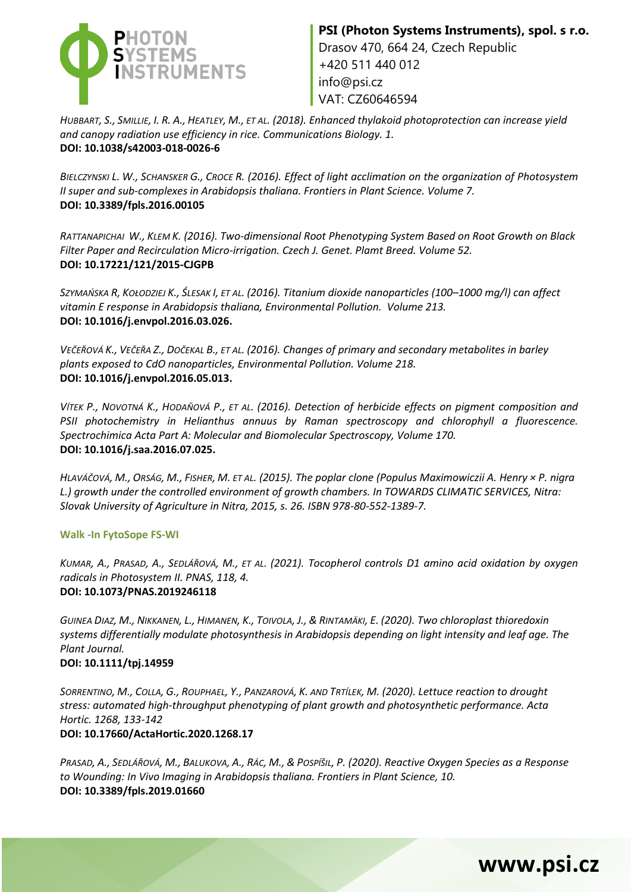

VAT: CZ60646594

HUBBART, S., SMILLIE, I. R. A., HEATLEY, M., ET AL. (2018). Enhanced thylakoid photoprotection can increase yield *and canopy radiation use efficiency in rice. Communications Biology. 1.* **DOI: 10.1038/s42003-018-0026-6**

*BIELCZYNSKI L. W., SCHANSKER G., CROCE R. (2016). Effect of light acclimation on the organization of Photosystem II super and sub-complexes in Arabidopsis thaliana. Frontiers in Plant Science. Volume 7.* **DOI: 10.3389/fpls.2016.00105**

*RATTANAPICHAI W., KLEM K. (2016). Two-dimensional Root Phenotyping System Based on Root Growth on Black Filter Paper and Recirculation Micro-irrigation. Czech J. Genet. Plamt Breed. Volume 52.* **DOI: 10.17221/121/2015-CJGPB**

*SZYMAŃSKA R, KOŁODZIEJ K., ŚLESAK I, ET AL. (2016). Titanium dioxide nanoparticles (100–1000 mg/l) can affect vitamin E response in Arabidopsis thaliana, Environmental Pollution. Volume 213.* **DOI: 10.1016/j.envpol.2016.03.026.**

*VEČEŘOVÁ K., VEČEŘA Z., DOČEKAL B., ET AL. (2016). Changes of primary and secondary metabolites in barley plants exposed to CdO nanoparticles, Environmental Pollution. Volume 218.*  **DOI: 10.1016/j.envpol.2016.05.013.**

*VÍTEK P., NOVOTNÁ K., HODAŇOVÁ P., ET AL. (2016). Detection of herbicide effects on pigment composition and PSII photochemistry in Helianthus annuus by Raman spectroscopy and chlorophyll a fluorescence. Spectrochimica Acta Part A: Molecular and Biomolecular Spectroscopy, Volume 170.* **DOI: 10.1016/j.saa.2016.07.025.**

*HLAVÁČOVÁ, M., ORSÁG, M., FISHER, M. ET AL. (2015). The poplar clone (Populus Maximowiczii A. Henry × P. nigra L.) growth under the controlled environment of growth chambers. In TOWARDS CLIMATIC SERVICES, Nitra: Slovak University of Agriculture in Nitra, 2015, s. 26. ISBN 978-80-552-1389-7.*

#### **Walk -In FytoSope FS-WI**

*KUMAR, A., PRASAD, A., SEDLÁŘOVÁ, M., ET AL. (2021). Tocopherol controls D1 amino acid oxidation by oxygen radicals in Photosystem II. PNAS, 118, 4.* **DOI: 10.1073/PNAS.2019246118** 

GUINEA DIAZ, M., NIKKANEN, L., HIMANEN, K., TOIVOLA, J., & RINTAMÄKI, E. (2020). Two chloroplast thioredoxin *systems differentially modulate photosynthesis in Arabidopsis depending on light intensity and leaf age. The Plant Journal.*

#### **DOI: 10.1111/tpj.14959**

SORRENTINO, M., COLLA, G., ROUPHAEL, Y., PANZAROVÁ, K. AND TRTÍLEK, M. (2020). Lettuce reaction to drought *stress: automated high-throughput phenotyping of plant growth and photosynthetic performance. Acta Hortic. 1268, 133-142*

#### **DOI: 10.17660/ActaHortic.2020.1268.17**

PRASAD, A., SEDLÁŘOVÁ, M., BALUKOVA, A., RÁC, M., & POSPÍŠIL, P. (2020). Reactive Oxygen Species as a Response *to Wounding: In Vivo Imaging in Arabidopsis thaliana. Frontiers in Plant Science, 10.* **DOI: 10.3389/fpls.2019.01660**